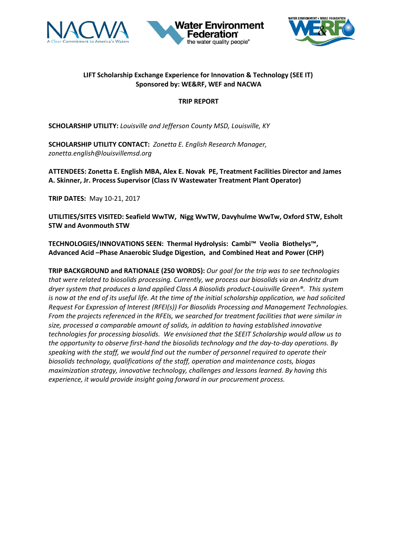





# **LIFT Scholarship Exchange Experience for Innovation & Technology (SEE IT) Sponsored by: WE&RF, WEF and NACWA**

# **TRIP REPORT**

**SCHOLARSHIP UTILITY:** *Louisville and Jefferson County MSD, Louisville, KY* 

**SCHOLARSHIP UTILITY CONTACT:** *Zonetta E. English Research Manager, zonetta.english@louisvillemsd.org*

**ATTENDEES: Zonetta E. English MBA, Alex E. Novak PE, Treatment Facilities Director and James A. Skinner, Jr. Process Supervisor (Class IV Wastewater Treatment Plant Operator)**

**TRIP DATES:** May 10-21, 2017

**UTILITIES/SITES VISITED: Seafield WwTW, Nigg WwTW, Davyhulme WwTw, Oxford STW, Esholt STW and Avonmouth STW**

**TECHNOLOGIES/INNOVATIONS SEEN: Thermal Hydrolysis: Cambi™ Veolia Biothelys™, Advanced Acid –Phase Anaerobic Sludge Digestion, and Combined Heat and Power (CHP)**

**TRIP BACKGROUND and RATIONALE (250 WORDS):** *Our goal for the trip was to see technologies that were related to biosolids processing. Currently, we process our biosolids via an Andritz drum dryer system that produces a land applied Class A Biosolids product-Louisville Green®. This system is now at the end of its useful life. At the time of the initial scholarship application, we had solicited Request For Expression of Interest (RFEI(s)) For Biosolids Processing and Management Technologies. From the projects referenced in the RFEIs, we searched for treatment facilities that were similar in size, processed a comparable amount of solids, in addition to having established innovative technologies for processing biosolids. We envisioned that the SEEIT Scholarship would allow us to the opportunity to observe first-hand the biosolids technology and the day-to-day operations. By speaking with the staff, we would find out the number of personnel required to operate their biosolids technology, qualifications of the staff, operation and maintenance costs, biogas maximization strategy, innovative technology, challenges and lessons learned. By having this experience, it would provide insight going forward in our procurement process.*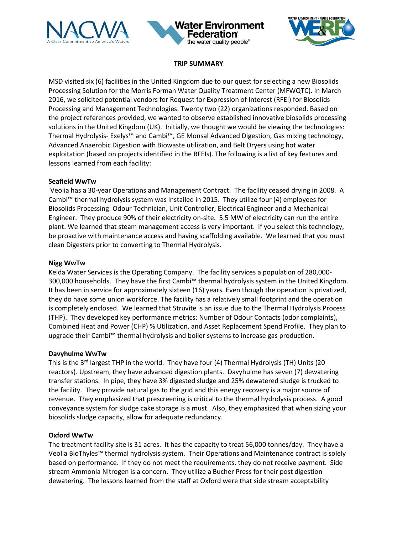





### **TRIP SUMMARY**

MSD visited six (6) facilities in the United Kingdom due to our quest for selecting a new Biosolids Processing Solution for the Morris Forman Water Quality Treatment Center (MFWQTC). In March 2016, we solicited potential vendors for Request for Expression of Interest (RFEI) for Biosolids Processing and Management Technologies. Twenty two (22) organizations responded. Based on the project references provided, we wanted to observe established innovative biosolids processing solutions in the United Kingdom (UK). Initially, we thought we would be viewing the technologies: Thermal Hydrolysis- Exelys™ and Cambi™, GE Monsal Advanced Digestion, Gas mixing technology, Advanced Anaerobic Digestion with Biowaste utilization, and Belt Dryers using hot water exploitation (based on projects identified in the RFEIs). The following is a list of key features and lessons learned from each facility:

### **Seafield WwTw**

Veolia has a 30-year Operations and Management Contract. The facility ceased drying in 2008. A Cambi™ thermal hydrolysis system was installed in 2015. They utilize four (4) employees for Biosolids Processing: Odour Technician, Unit Controller, Electrical Engineer and a Mechanical Engineer. They produce 90% of their electricity on-site. 5.5 MW of electricity can run the entire plant. We learned that steam management access is very important. If you select this technology, be proactive with maintenance access and having scaffolding available. We learned that you must clean Digesters prior to converting to Thermal Hydrolysis.

### **Nigg WwTw**

Kelda Water Services is the Operating Company. The facility services a population of 280,000- 300,000 households. They have the first Cambi™ thermal hydrolysis system in the United Kingdom. It has been in service for approximately sixteen (16) years. Even though the operation is privatized, they do have some union workforce. The facility has a relatively small footprint and the operation is completely enclosed. We learned that Struvite is an issue due to the Thermal Hydrolysis Process (THP). They developed key performance metrics: Number of Odour Contacts (odor complaints), Combined Heat and Power (CHP) % Utilization, and Asset Replacement Spend Profile. They plan to upgrade their Cambi™ thermal hydrolysis and boiler systems to increase gas production.

#### **Davyhulme WwTw**

This is the 3<sup>rd</sup> largest THP in the world. They have four (4) Thermal Hydrolysis (TH) Units (20 reactors). Upstream, they have advanced digestion plants. Davyhulme has seven (7) dewatering transfer stations. In pipe, they have 3% digested sludge and 25% dewatered sludge is trucked to the facility. They provide natural gas to the grid and this energy recovery is a major source of revenue. They emphasized that prescreening is critical to the thermal hydrolysis process. A good conveyance system for sludge cake storage is a must. Also, they emphasized that when sizing your biosolids sludge capacity, allow for adequate redundancy.

### **Oxford WwTw**

The treatment facility site is 31 acres. It has the capacity to treat 56,000 tonnes/day. They have a Veolia BioThyles™ thermal hydrolysis system. Their Operations and Maintenance contract is solely based on performance. If they do not meet the requirements, they do not receive payment. Side stream Ammonia Nitrogen is a concern. They utilize a Bucher Press for their post digestion dewatering. The lessons learned from the staff at Oxford were that side stream acceptability